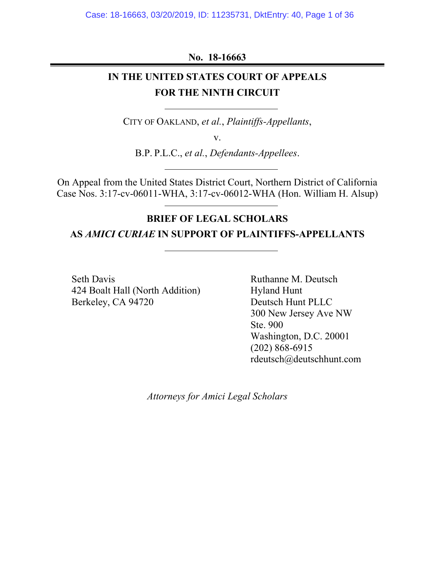## **No. 18-16663**

# **IN THE UNITED STATES COURT OF APPEALS FOR THE NINTH CIRCUIT**

CITY OF OAKLAND, *et al.*, *Plaintiffs-Appellants*,

v.

B.P. P.L.C., *et al.*, *Defendants-Appellees*.

On Appeal from the United States District Court, Northern District of California Case Nos. 3:17-cv-06011-WHA, 3:17-cv-06012-WHA (Hon. William H. Alsup)

# **BRIEF OF LEGAL SCHOLARS**

### **AS** *AMICI CURIAE* **IN SUPPORT OF PLAINTIFFS-APPELLANTS**

Seth Davis 424 Boalt Hall (North Addition) Berkeley, CA 94720

Ruthanne M. Deutsch Hyland Hunt Deutsch Hunt PLLC 300 New Jersey Ave NW Ste. 900 Washington, D.C. 20001 (202) 868-6915 rdeutsch@deutschhunt.com

*Attorneys for Amici Legal Scholars*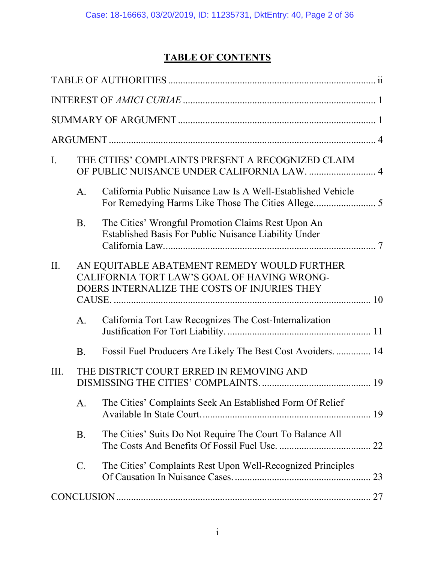# **TABLE OF CONTENTS**

| I.  |                | THE CITIES' COMPLAINTS PRESENT A RECOGNIZED CLAIM<br>OF PUBLIC NUISANCE UNDER CALIFORNIA LAW.  4                                           |    |
|-----|----------------|--------------------------------------------------------------------------------------------------------------------------------------------|----|
|     | A <sub>1</sub> | California Public Nuisance Law Is A Well-Established Vehicle                                                                               |    |
|     | <b>B.</b>      | The Cities' Wrongful Promotion Claims Rest Upon An<br>Established Basis For Public Nuisance Liability Under                                |    |
| II. |                | AN EQUITABLE ABATEMENT REMEDY WOULD FURTHER<br>CALIFORNIA TORT LAW'S GOAL OF HAVING WRONG-<br>DOERS INTERNALIZE THE COSTS OF INJURIES THEY |    |
|     | А.             | California Tort Law Recognizes The Cost-Internalization                                                                                    |    |
|     | <b>B.</b>      | Fossil Fuel Producers Are Likely The Best Cost Avoiders.  14                                                                               |    |
| Ш.  |                | THE DISTRICT COURT ERRED IN REMOVING AND                                                                                                   |    |
|     | A.             | The Cities' Complaints Seek An Established Form Of Relief                                                                                  |    |
|     | <b>B.</b>      | The Cities' Suits Do Not Require The Court To Balance All                                                                                  |    |
|     | C.             | The Cities' Complaints Rest Upon Well-Recognized Principles                                                                                | 23 |
|     |                |                                                                                                                                            |    |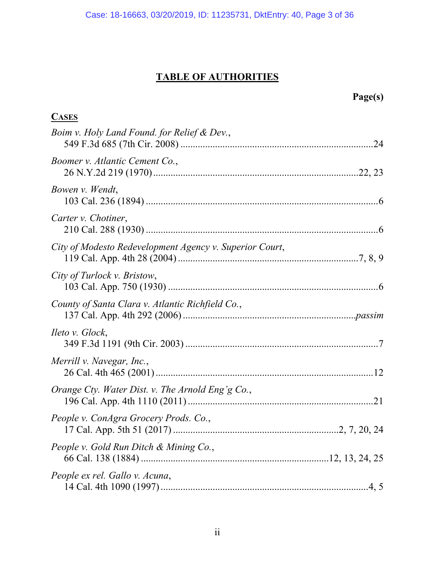# **TABLE OF AUTHORITIES**

<span id="page-2-0"></span>

| Page(s)                                                 |  |
|---------------------------------------------------------|--|
| <b>CASES</b>                                            |  |
| Boim v. Holy Land Found. for Relief & Dev.,             |  |
| Boomer v. Atlantic Cement Co.,                          |  |
| Bowen v. Wendt,                                         |  |
| Carter v. Chotiner,                                     |  |
| City of Modesto Redevelopment Agency v. Superior Court, |  |
| City of Turlock v. Bristow,                             |  |
| County of Santa Clara v. Atlantic Richfield Co.,        |  |
| <i>Heto v. Glock,</i>                                   |  |
| Merrill v. Navegar, Inc.,                               |  |
| Orange Cty. Water Dist. v. The Arnold Eng'g Co.,        |  |
| People v. ConAgra Grocery Prods. Co.,                   |  |
| People v. Gold Run Ditch & Mining Co.,                  |  |
| People ex rel. Gallo v. Acuna,                          |  |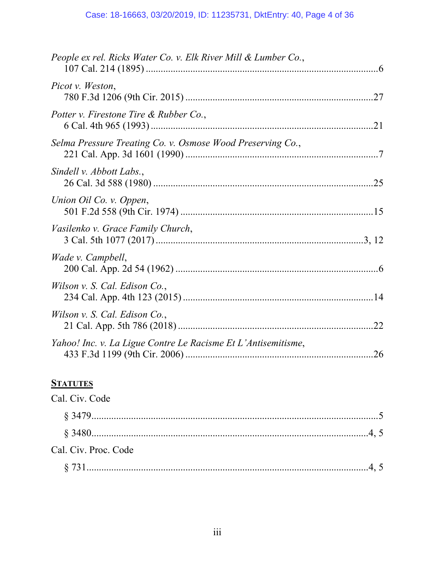| People ex rel. Ricks Water Co. v. Elk River Mill & Lumber Co., |  |
|----------------------------------------------------------------|--|
| Picot v. Weston,                                               |  |
| Potter v. Firestone Tire & Rubber Co.,                         |  |
| Selma Pressure Treating Co. v. Osmose Wood Preserving Co.,     |  |
| Sindell v. Abbott Labs.,                                       |  |
| Union Oil Co. v. Oppen,                                        |  |
| Vasilenko v. Grace Family Church,                              |  |
| Wade v. Campbell,                                              |  |
| Wilson v. S. Cal. Edison Co.,                                  |  |
| Wilson v. S. Cal. Edison Co.,                                  |  |
| Yahoo! Inc. v. La Ligue Contre Le Racisme Et L'Antisemitisme,  |  |

# **STATUTES**

| Cal. Civ. Code       |  |
|----------------------|--|
|                      |  |
|                      |  |
| Cal. Civ. Proc. Code |  |
|                      |  |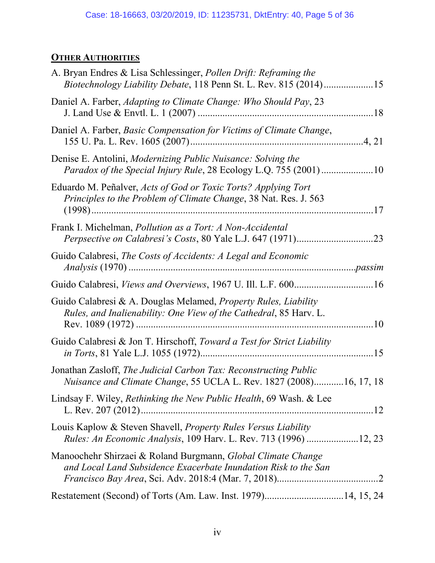# **OTHER AUTHORITIES**

| A. Bryan Endres & Lisa Schlessinger, Pollen Drift: Reframing the<br>Biotechnology Liability Debate, 118 Penn St. L. Rev. 815 (2014)15               |  |
|-----------------------------------------------------------------------------------------------------------------------------------------------------|--|
| Daniel A. Farber, Adapting to Climate Change: Who Should Pay, 23                                                                                    |  |
| Daniel A. Farber, Basic Compensation for Victims of Climate Change,                                                                                 |  |
| Denise E. Antolini, <i>Modernizing Public Nuisance: Solving the</i><br>Paradox of the Special Injury Rule, 28 Ecology L.Q. 755 (2001)10             |  |
| Eduardo M. Peñalver, Acts of God or Toxic Torts? Applying Tort<br>Principles to the Problem of Climate Change, 38 Nat. Res. J. 563                  |  |
| Frank I. Michelman, <i>Pollution as a Tort: A Non-Accidental</i>                                                                                    |  |
| Guido Calabresi, The Costs of Accidents: A Legal and Economic                                                                                       |  |
| Guido Calabresi, Views and Overviews, 1967 U. Ill. L.F. 600 16                                                                                      |  |
| Guido Calabresi & A. Douglas Melamed, <i>Property Rules</i> , <i>Liability</i><br>Rules, and Inalienability: One View of the Cathedral, 85 Harv. L. |  |
| Guido Calabresi & Jon T. Hirschoff, Toward a Test for Strict Liability                                                                              |  |
| Jonathan Zasloff, The Judicial Carbon Tax: Reconstructing Public<br>Nuisance and Climate Change, 55 UCLA L. Rev. 1827 (2008)16, 17, 18              |  |
| Lindsay F. Wiley, Rethinking the New Public Health, 69 Wash. & Lee                                                                                  |  |
| Louis Kaplow & Steven Shavell, <i>Property Rules Versus Liability</i><br>Rules: An Economic Analysis, 109 Harv. L. Rev. 713 (1996) 12, 23           |  |
| Manoochehr Shirzaei & Roland Burgmann, Global Climate Change<br>and Local Land Subsidence Exacerbate Inundation Risk to the San                     |  |
| Restatement (Second) of Torts (Am. Law. Inst. 1979)14, 15, 24                                                                                       |  |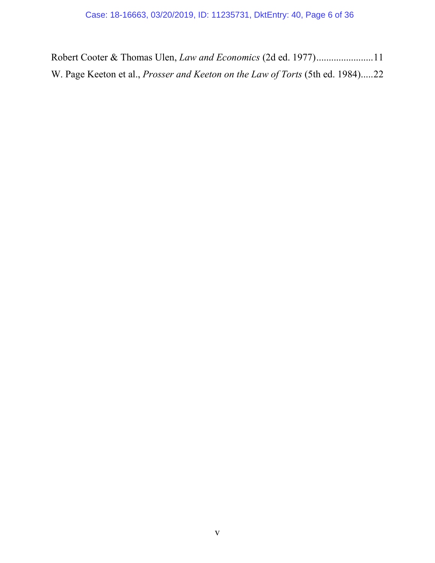Robert Cooter & Thomas Ulen, *Law and Economics* (2d ed. 1977).......................11 W. Page Keeton et al., *Prosser and Keeton on the Law of Torts* (5th ed. 1984).....22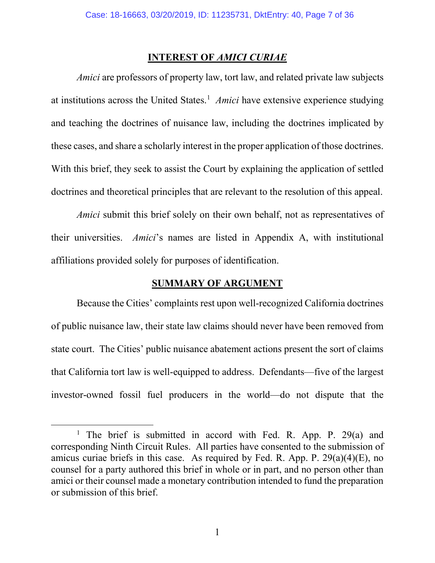## **INTEREST OF** *AMICI CURIAE*

<span id="page-6-0"></span>*Amici* are professors of property law, tort law, and related private law subjects at institutions across the United States. [1](#page-6-2) *Amici* have extensive experience studying and teaching the doctrines of nuisance law, including the doctrines implicated by these cases, and share a scholarly interest in the proper application of those doctrines. With this brief, they seek to assist the Court by explaining the application of settled doctrines and theoretical principles that are relevant to the resolution of this appeal.

*Amici* submit this brief solely on their own behalf, not as representatives of their universities. *Amici*'s names are listed in Appendix A, with institutional affiliations provided solely for purposes of identification.

### **SUMMARY OF ARGUMENT**

<span id="page-6-1"></span>Because the Cities' complaints rest upon well-recognized California doctrines of public nuisance law, their state law claims should never have been removed from state court. The Cities' public nuisance abatement actions present the sort of claims that California tort law is well-equipped to address. Defendants—five of the largest investor-owned fossil fuel producers in the world—do not dispute that the

<span id="page-6-2"></span><sup>&</sup>lt;sup>1</sup> The brief is submitted in accord with Fed. R. App. P. 29(a) and corresponding Ninth Circuit Rules. All parties have consented to the submission of amicus curiae briefs in this case. As required by Fed. R. App. P. 29(a)(4)(E), no counsel for a party authored this brief in whole or in part, and no person other than amici or their counsel made a monetary contribution intended to fund the preparation or submission of this brief.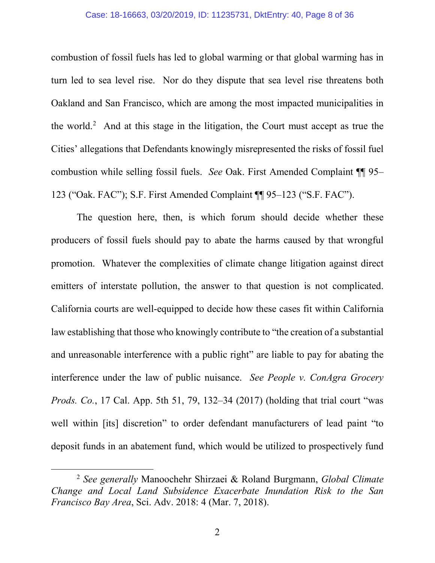### Case: 18-16663, 03/20/2019, ID: 11235731, DktEntry: 40, Page 8 of 36

combustion of fossil fuels has led to global warming or that global warming has in turn led to sea level rise. Nor do they dispute that sea level rise threatens both Oakland and San Francisco, which are among the most impacted municipalities in the world.<sup>[2](#page-7-0)</sup> And at this stage in the litigation, the Court must accept as true the Cities' allegations that Defendants knowingly misrepresented the risks of fossil fuel combustion while selling fossil fuels. *See* Oak. First Amended Complaint ¶¶ 95– 123 ("Oak. FAC"); S.F. First Amended Complaint ¶¶ 95–123 ("S.F. FAC").

The question here, then, is which forum should decide whether these producers of fossil fuels should pay to abate the harms caused by that wrongful promotion. Whatever the complexities of climate change litigation against direct emitters of interstate pollution, the answer to that question is not complicated. California courts are well-equipped to decide how these cases fit within California law establishing that those who knowingly contribute to "the creation of a substantial and unreasonable interference with a public right" are liable to pay for abating the interference under the law of public nuisance. *See People v. ConAgra Grocery Prods. Co.*, 17 Cal. App. 5th 51, 79, 132–34 (2017) (holding that trial court "was well within [its] discretion" to order defendant manufacturers of lead paint "to deposit funds in an abatement fund, which would be utilized to prospectively fund

<span id="page-7-0"></span> <sup>2</sup> *See generally* Manoochehr Shirzaei & Roland Burgmann, *Global Climate Change and Local Land Subsidence Exacerbate Inundation Risk to the San Francisco Bay Area*, Sci. Adv. 2018: 4 (Mar. 7, 2018).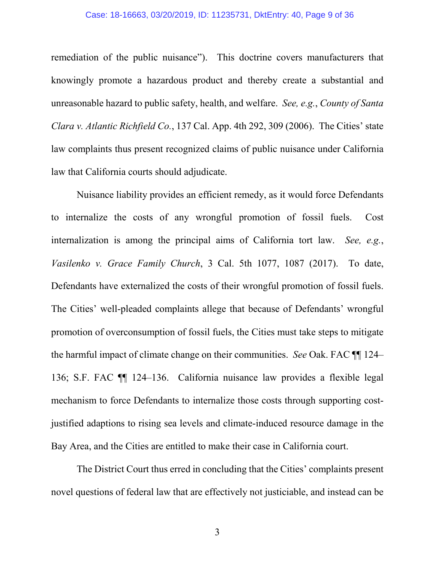### Case: 18-16663, 03/20/2019, ID: 11235731, DktEntry: 40, Page 9 of 36

remediation of the public nuisance"). This doctrine covers manufacturers that knowingly promote a hazardous product and thereby create a substantial and unreasonable hazard to public safety, health, and welfare. *See, e.g.*, *County of Santa Clara v. Atlantic Richfield Co.*, 137 Cal. App. 4th 292, 309 (2006). The Cities' state law complaints thus present recognized claims of public nuisance under California law that California courts should adjudicate.

Nuisance liability provides an efficient remedy, as it would force Defendants to internalize the costs of any wrongful promotion of fossil fuels. Cost internalization is among the principal aims of California tort law. *See, e.g.*, *Vasilenko v. Grace Family Church*, 3 Cal. 5th 1077, 1087 (2017). To date, Defendants have externalized the costs of their wrongful promotion of fossil fuels. The Cities' well-pleaded complaints allege that because of Defendants' wrongful promotion of overconsumption of fossil fuels, the Cities must take steps to mitigate the harmful impact of climate change on their communities. *See* Oak. FAC ¶¶ 124– 136; S.F. FAC ¶¶ 124–136. California nuisance law provides a flexible legal mechanism to force Defendants to internalize those costs through supporting costjustified adaptions to rising sea levels and climate-induced resource damage in the Bay Area, and the Cities are entitled to make their case in California court.

The District Court thus erred in concluding that the Cities' complaints present novel questions of federal law that are effectively not justiciable, and instead can be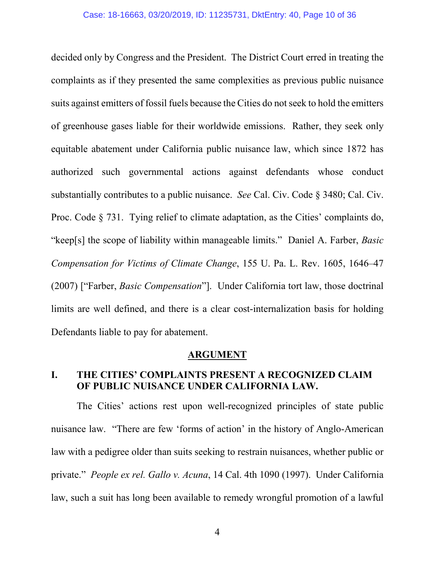decided only by Congress and the President. The District Court erred in treating the complaints as if they presented the same complexities as previous public nuisance suits against emitters of fossil fuels because the Cities do not seek to hold the emitters of greenhouse gases liable for their worldwide emissions. Rather, they seek only equitable abatement under California public nuisance law, which since 1872 has authorized such governmental actions against defendants whose conduct substantially contributes to a public nuisance. *See* Cal. Civ. Code § 3480; Cal. Civ. Proc. Code  $\S$  731. Tying relief to climate adaptation, as the Cities' complaints do, "keep[s] the scope of liability within manageable limits." Daniel A. Farber, *Basic Compensation for Victims of Climate Change*, 155 U. Pa. L. Rev. 1605, 1646–47 (2007) ["Farber, *Basic Compensation*"]. Under California tort law, those doctrinal limits are well defined, and there is a clear cost-internalization basis for holding Defendants liable to pay for abatement.

### **ARGUMENT**

## <span id="page-9-1"></span><span id="page-9-0"></span>**I. THE CITIES' COMPLAINTS PRESENT A RECOGNIZED CLAIM OF PUBLIC NUISANCE UNDER CALIFORNIA LAW.**

The Cities' actions rest upon well-recognized principles of state public nuisance law. "There are few 'forms of action' in the history of Anglo-American law with a pedigree older than suits seeking to restrain nuisances, whether public or private." *People ex rel. Gallo v. Acuna*, 14 Cal. 4th 1090 (1997). Under California law, such a suit has long been available to remedy wrongful promotion of a lawful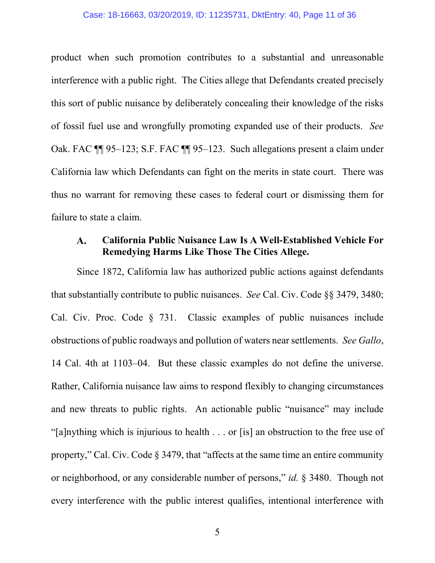### Case: 18-16663, 03/20/2019, ID: 11235731, DktEntry: 40, Page 11 of 36

product when such promotion contributes to a substantial and unreasonable interference with a public right. The Cities allege that Defendants created precisely this sort of public nuisance by deliberately concealing their knowledge of the risks of fossil fuel use and wrongfully promoting expanded use of their products. *See* Oak. FAC ¶¶ 95–123; S.F. FAC ¶¶ 95–123. Such allegations present a claim under California law which Defendants can fight on the merits in state court. There was thus no warrant for removing these cases to federal court or dismissing them for failure to state a claim.

#### <span id="page-10-0"></span>**California Public Nuisance Law Is A Well-Established Vehicle For**   ${\bf A}$ . **Remedying Harms Like Those The Cities Allege.**

Since 1872, California law has authorized public actions against defendants that substantially contribute to public nuisances. *See* Cal. Civ. Code §§ 3479, 3480; Cal. Civ. Proc. Code § 731. Classic examples of public nuisances include obstructions of public roadways and pollution of waters near settlements. *See Gallo*, 14 Cal. 4th at 1103–04.But these classic examples do not define the universe. Rather, California nuisance law aims to respond flexibly to changing circumstances and new threats to public rights. An actionable public "nuisance" may include "[a]nything which is injurious to health . . . or [is] an obstruction to the free use of property," Cal. Civ. Code § 3479, that "affects at the same time an entire community or neighborhood, or any considerable number of persons," *id.* § 3480. Though not every interference with the public interest qualifies, intentional interference with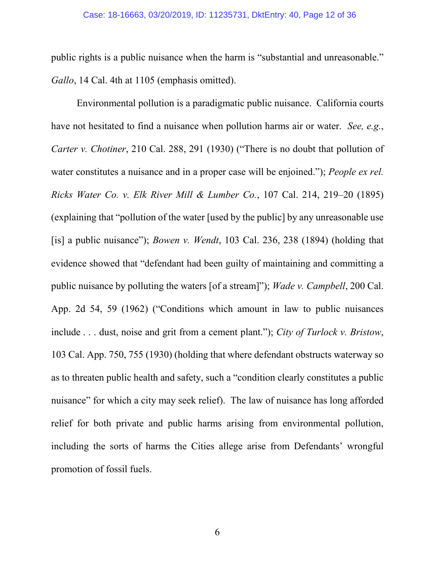public rights is a public nuisance when the harm is "substantial and unreasonable." *Gallo*, 14 Cal. 4th at 1105 (emphasis omitted).

Environmental pollution is a paradigmatic public nuisance. California courts have not hesitated to find a nuisance when pollution harms air or water. *See, e.g.*, *Carter v. Chotiner*, 210 Cal. 288, 291 (1930) ("There is no doubt that pollution of water constitutes a nuisance and in a proper case will be enjoined."); *People ex rel. Ricks Water Co. v. Elk River Mill & Lumber Co.*, 107 Cal. 214, 219–20 (1895) (explaining that "pollution of the water [used by the public] by any unreasonable use [is] a public nuisance"); *Bowen v. Wendt*, 103 Cal. 236, 238 (1894) (holding that evidence showed that "defendant had been guilty of maintaining and committing a public nuisance by polluting the waters [of a stream]"); *Wade v. Campbell*, 200 Cal. App. 2d 54, 59 (1962) ("Conditions which amount in law to public nuisances include . . . dust, noise and grit from a cement plant."); *City of Turlock v. Bristow*, 103 Cal. App. 750, 755 (1930) (holding that where defendant obstructs waterway so as to threaten public health and safety, such a "condition clearly constitutes a public nuisance" for which a city may seek relief). The law of nuisance has long afforded relief for both private and public harms arising from environmental pollution, including the sorts of harms the Cities allege arise from Defendants' wrongful promotion of fossil fuels.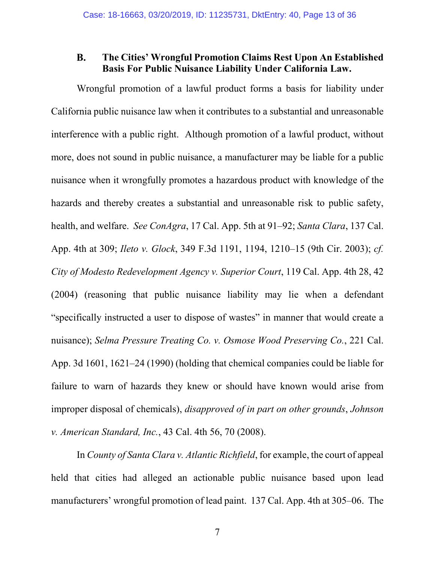#### <span id="page-12-0"></span>**B. The Cities' Wrongful Promotion Claims Rest Upon An Established Basis For Public Nuisance Liability Under California Law.**

Wrongful promotion of a lawful product forms a basis for liability under California public nuisance law when it contributes to a substantial and unreasonable interference with a public right. Although promotion of a lawful product, without more, does not sound in public nuisance, a manufacturer may be liable for a public nuisance when it wrongfully promotes a hazardous product with knowledge of the hazards and thereby creates a substantial and unreasonable risk to public safety, health, and welfare. *See ConAgra*, 17 Cal. App. 5th at 91–92; *Santa Clara*, 137 Cal. App. 4th at 309; *Ileto v. Glock*, 349 F.3d 1191, 1194, 1210–15 (9th Cir. 2003); *cf. City of Modesto Redevelopment Agency v. Superior Court*, 119 Cal. App. 4th 28, 42 (2004) (reasoning that public nuisance liability may lie when a defendant "specifically instructed a user to dispose of wastes" in manner that would create a nuisance); *Selma Pressure Treating Co. v. Osmose Wood Preserving Co.*, 221 Cal. App. 3d 1601, 1621–24 (1990) (holding that chemical companies could be liable for failure to warn of hazards they knew or should have known would arise from improper disposal of chemicals), *disapproved of in part on other grounds*, *Johnson v. American Standard, Inc.*, 43 Cal. 4th 56, 70 (2008).

In *County of Santa Clara v. Atlantic Richfield*, for example, the court of appeal held that cities had alleged an actionable public nuisance based upon lead manufacturers' wrongful promotion of lead paint. 137 Cal. App. 4th at 305–06. The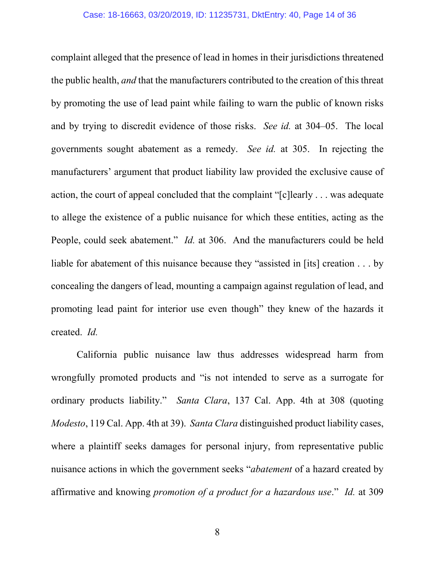complaint alleged that the presence of lead in homes in their jurisdictions threatened the public health, *and* that the manufacturers contributed to the creation of this threat by promoting the use of lead paint while failing to warn the public of known risks and by trying to discredit evidence of those risks. *See id.* at 304–05. The local governments sought abatement as a remedy. *See id.* at 305. In rejecting the manufacturers' argument that product liability law provided the exclusive cause of action, the court of appeal concluded that the complaint "[c]learly . . . was adequate to allege the existence of a public nuisance for which these entities, acting as the People, could seek abatement." *Id.* at 306. And the manufacturers could be held liable for abatement of this nuisance because they "assisted in [its] creation . . . by concealing the dangers of lead, mounting a campaign against regulation of lead, and promoting lead paint for interior use even though" they knew of the hazards it created. *Id.* 

California public nuisance law thus addresses widespread harm from wrongfully promoted products and "is not intended to serve as a surrogate for ordinary products liability." *Santa Clara*, 137 Cal. App. 4th at 308 (quoting *Modesto*, 119 Cal. App. 4th at 39). *Santa Clara* distinguished product liability cases, where a plaintiff seeks damages for personal injury, from representative public nuisance actions in which the government seeks "*abatement* of a hazard created by affirmative and knowing *promotion of a product for a hazardous use*." *Id.* at 309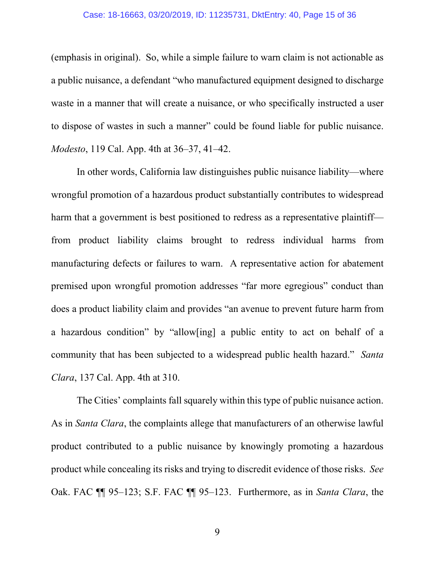(emphasis in original). So, while a simple failure to warn claim is not actionable as a public nuisance, a defendant "who manufactured equipment designed to discharge waste in a manner that will create a nuisance, or who specifically instructed a user to dispose of wastes in such a manner" could be found liable for public nuisance. *Modesto*, 119 Cal. App. 4th at 36–37, 41–42.

In other words, California law distinguishes public nuisance liability—where wrongful promotion of a hazardous product substantially contributes to widespread harm that a government is best positioned to redress as a representative plaintiff from product liability claims brought to redress individual harms from manufacturing defects or failures to warn. A representative action for abatement premised upon wrongful promotion addresses "far more egregious" conduct than does a product liability claim and provides "an avenue to prevent future harm from a hazardous condition" by "allow[ing] a public entity to act on behalf of a community that has been subjected to a widespread public health hazard." *Santa Clara*, 137 Cal. App. 4th at 310.

The Cities' complaints fall squarely within this type of public nuisance action. As in *Santa Clara*, the complaints allege that manufacturers of an otherwise lawful product contributed to a public nuisance by knowingly promoting a hazardous product while concealing its risks and trying to discredit evidence of those risks. *See* Oak. FAC ¶¶ 95–123; S.F. FAC ¶¶ 95–123. Furthermore, as in *Santa Clara*, the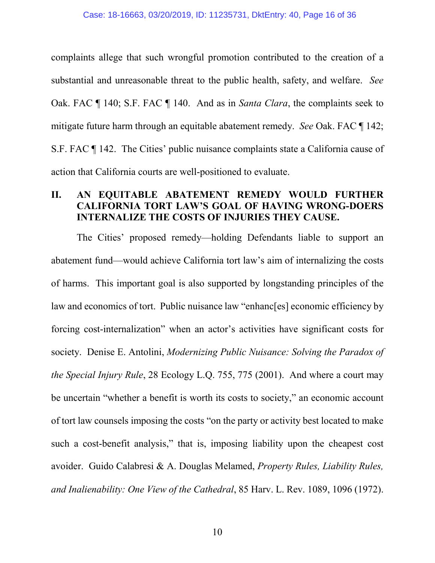complaints allege that such wrongful promotion contributed to the creation of a substantial and unreasonable threat to the public health, safety, and welfare. *See* Oak. FAC ¶ 140; S.F. FAC ¶ 140. And as in *Santa Clara*, the complaints seek to mitigate future harm through an equitable abatement remedy. *See* Oak. FAC ¶ 142; S.F. FAC ¶ 142. The Cities' public nuisance complaints state a California cause of action that California courts are well-positioned to evaluate.

# <span id="page-15-0"></span>**II. AN EQUITABLE ABATEMENT REMEDY WOULD FURTHER CALIFORNIA TORT LAW'S GOAL OF HAVING WRONG-DOERS INTERNALIZE THE COSTS OF INJURIES THEY CAUSE.**

The Cities' proposed remedy—holding Defendants liable to support an abatement fund—would achieve California tort law's aim of internalizing the costs of harms. This important goal is also supported by longstanding principles of the law and economics of tort. Public nuisance law "enhanc[es] economic efficiency by forcing cost-internalization" when an actor's activities have significant costs for society. Denise E. Antolini, *Modernizing Public Nuisance: Solving the Paradox of the Special Injury Rule*, 28 Ecology L.Q. 755, 775 (2001). And where a court may be uncertain "whether a benefit is worth its costs to society," an economic account of tort law counsels imposing the costs "on the party or activity best located to make such a cost-benefit analysis," that is, imposing liability upon the cheapest cost avoider. Guido Calabresi & A. Douglas Melamed, *Property Rules, Liability Rules, and Inalienability: One View of the Cathedral*, 85 Harv. L. Rev. 1089, 1096 (1972).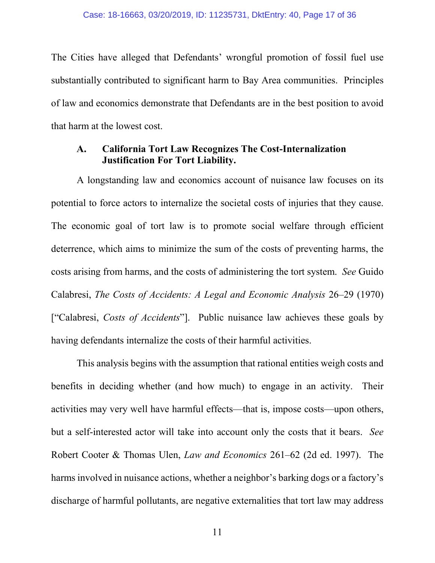The Cities have alleged that Defendants' wrongful promotion of fossil fuel use substantially contributed to significant harm to Bay Area communities. Principles of law and economics demonstrate that Defendants are in the best position to avoid that harm at the lowest cost.

#### <span id="page-16-0"></span>**California Tort Law Recognizes The Cost-Internalization**  A. **Justification For Tort Liability.**

A longstanding law and economics account of nuisance law focuses on its potential to force actors to internalize the societal costs of injuries that they cause. The economic goal of tort law is to promote social welfare through efficient deterrence, which aims to minimize the sum of the costs of preventing harms, the costs arising from harms, and the costs of administering the tort system. *See* Guido Calabresi, *The Costs of Accidents: A Legal and Economic Analysis* 26–29 (1970) ["Calabresi, *Costs of Accidents*"]. Public nuisance law achieves these goals by having defendants internalize the costs of their harmful activities.

This analysis begins with the assumption that rational entities weigh costs and benefits in deciding whether (and how much) to engage in an activity. Their activities may very well have harmful effects—that is, impose costs—upon others, but a self-interested actor will take into account only the costs that it bears. *See*  Robert Cooter & Thomas Ulen, *Law and Economics* 261–62 (2d ed. 1997). The harms involved in nuisance actions, whether a neighbor's barking dogs or a factory's discharge of harmful pollutants, are negative externalities that tort law may address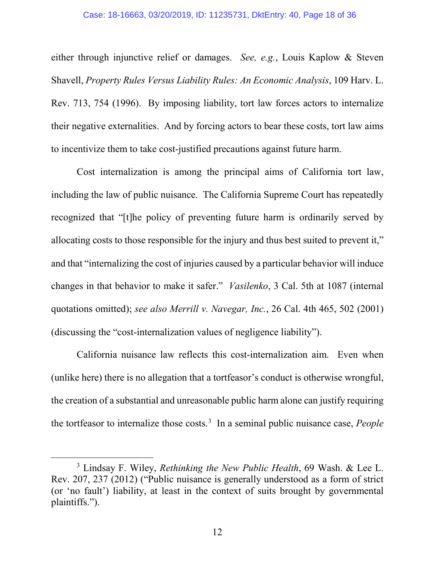### Case: 18-16663, 03/20/2019, ID: 11235731, DktEntry: 40, Page 18 of 36

either through injunctive relief or damages. *See, e.g.*, Louis Kaplow & Steven Shavell, *Property Rules Versus Liability Rules: An Economic Analysis*, 109 Harv. L. Rev. 713, 754 (1996). By imposing liability, tort law forces actors to internalize their negative externalities. And by forcing actors to bear these costs, tort law aims to incentivize them to take cost-justified precautions against future harm.

Cost internalization is among the principal aims of California tort law, including the law of public nuisance. The California Supreme Court has repeatedly recognized that "[t]he policy of preventing future harm is ordinarily served by allocating costs to those responsible for the injury and thus best suited to prevent it," and that "internalizing the cost of injuries caused by a particular behavior will induce changes in that behavior to make it safer." *Vasilenko*, 3 Cal. 5th at 1087 (internal quotations omitted); *see also Merrill v. Navegar, Inc.*, 26 Cal. 4th 465, 502 (2001) (discussing the "cost-internalization values of negligence liability").

California nuisance law reflects this cost-internalization aim. Even when (unlike here) there is no allegation that a tortfeasor's conduct is otherwise wrongful, the creation of a substantial and unreasonable public harm alone can justify requiring the tortfeasor to internalize those costs.<sup>[3](#page-17-0)</sup> In a seminal public nuisance case, *People* 

<span id="page-17-0"></span> <sup>3</sup> Lindsay F. Wiley, *Rethinking the New Public Health*, 69 Wash. & Lee L. Rev. 207, 237 (2012) ("Public nuisance is generally understood as a form of strict (or 'no fault') liability, at least in the context of suits brought by governmental plaintiffs.").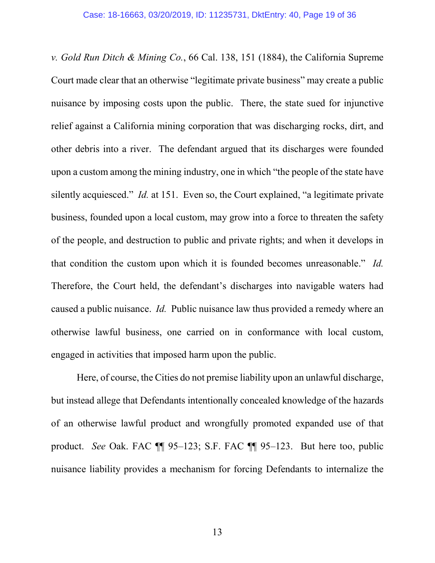*v. Gold Run Ditch & Mining Co.*, 66 Cal. 138, 151 (1884), the California Supreme Court made clear that an otherwise "legitimate private business" may create a public nuisance by imposing costs upon the public. There, the state sued for injunctive relief against a California mining corporation that was discharging rocks, dirt, and other debris into a river. The defendant argued that its discharges were founded upon a custom among the mining industry, one in which "the people of the state have silently acquiesced." *Id.* at 151. Even so, the Court explained, "a legitimate private business, founded upon a local custom, may grow into a force to threaten the safety of the people, and destruction to public and private rights; and when it develops in that condition the custom upon which it is founded becomes unreasonable." *Id.* Therefore, the Court held, the defendant's discharges into navigable waters had caused a public nuisance. *Id.* Public nuisance law thus provided a remedy where an otherwise lawful business, one carried on in conformance with local custom, engaged in activities that imposed harm upon the public.

Here, of course, the Cities do not premise liability upon an unlawful discharge, but instead allege that Defendants intentionally concealed knowledge of the hazards of an otherwise lawful product and wrongfully promoted expanded use of that product. *See* Oak. FAC ¶¶ 95–123; S.F. FAC ¶¶ 95–123. But here too, public nuisance liability provides a mechanism for forcing Defendants to internalize the

13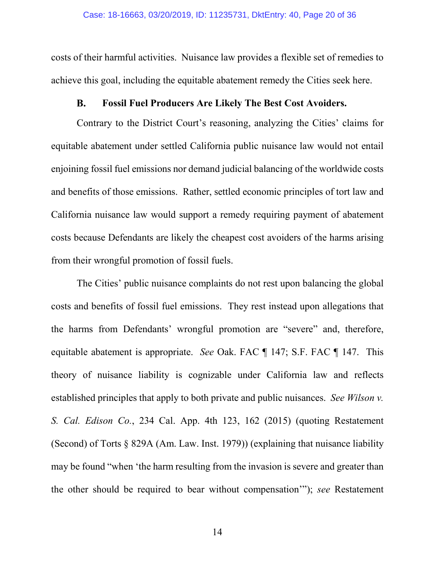costs of their harmful activities. Nuisance law provides a flexible set of remedies to achieve this goal, including the equitable abatement remedy the Cities seek here.

#### **Fossil Fuel Producers Are Likely The Best Cost Avoiders. B.**

<span id="page-19-0"></span>Contrary to the District Court's reasoning, analyzing the Cities' claims for equitable abatement under settled California public nuisance law would not entail enjoining fossil fuel emissions nor demand judicial balancing of the worldwide costs and benefits of those emissions. Rather, settled economic principles of tort law and California nuisance law would support a remedy requiring payment of abatement costs because Defendants are likely the cheapest cost avoiders of the harms arising from their wrongful promotion of fossil fuels.

The Cities' public nuisance complaints do not rest upon balancing the global costs and benefits of fossil fuel emissions. They rest instead upon allegations that the harms from Defendants' wrongful promotion are "severe" and, therefore, equitable abatement is appropriate. *See* Oak. FAC ¶ 147; S.F. FAC ¶ 147. This theory of nuisance liability is cognizable under California law and reflects established principles that apply to both private and public nuisances. *See Wilson v. S. Cal. Edison Co.*, 234 Cal. App. 4th 123, 162 (2015) (quoting Restatement (Second) of Torts § 829A (Am. Law. Inst. 1979)) (explaining that nuisance liability may be found "when 'the harm resulting from the invasion is severe and greater than the other should be required to bear without compensation'"); *see* Restatement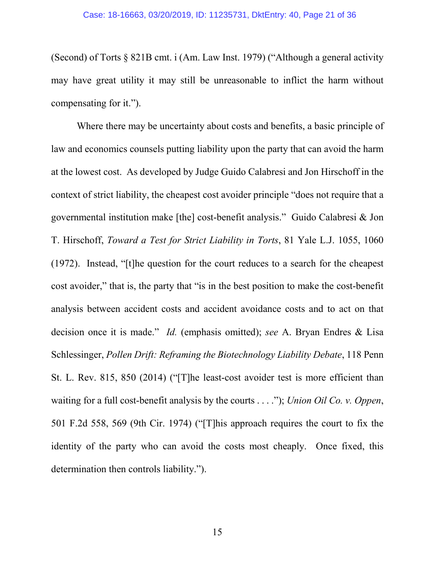(Second) of Torts § 821B cmt. i (Am. Law Inst. 1979) ("Although a general activity may have great utility it may still be unreasonable to inflict the harm without compensating for it.").

Where there may be uncertainty about costs and benefits, a basic principle of law and economics counsels putting liability upon the party that can avoid the harm at the lowest cost. As developed by Judge Guido Calabresi and Jon Hirschoff in the context of strict liability, the cheapest cost avoider principle "does not require that a governmental institution make [the] cost-benefit analysis." Guido Calabresi & Jon T. Hirschoff, *Toward a Test for Strict Liability in Torts*, 81 Yale L.J. 1055, 1060 (1972). Instead, "[t]he question for the court reduces to a search for the cheapest cost avoider," that is, the party that "is in the best position to make the cost-benefit analysis between accident costs and accident avoidance costs and to act on that decision once it is made." *Id.* (emphasis omitted); *see* A. Bryan Endres & Lisa Schlessinger, *Pollen Drift: Reframing the Biotechnology Liability Debate*, 118 Penn St. L. Rev. 815, 850 (2014) ("[T]he least-cost avoider test is more efficient than waiting for a full cost-benefit analysis by the courts . . . ."); *Union Oil Co. v. Oppen*, 501 F.2d 558, 569 (9th Cir. 1974) ("[T]his approach requires the court to fix the identity of the party who can avoid the costs most cheaply. Once fixed, this determination then controls liability.").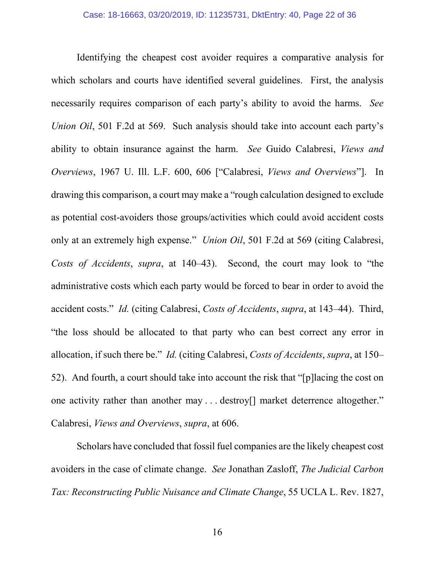Identifying the cheapest cost avoider requires a comparative analysis for which scholars and courts have identified several guidelines. First, the analysis necessarily requires comparison of each party's ability to avoid the harms. *See Union Oil*, 501 F.2d at 569. Such analysis should take into account each party's ability to obtain insurance against the harm. *See* Guido Calabresi, *Views and Overviews*, 1967 U. Ill. L.F. 600, 606 ["Calabresi, *Views and Overviews*"]. In drawing this comparison, a court may make a "rough calculation designed to exclude as potential cost-avoiders those groups/activities which could avoid accident costs only at an extremely high expense." *Union Oil*, 501 F.2d at 569 (citing Calabresi, *Costs of Accidents*, *supra*, at 140–43). Second, the court may look to "the administrative costs which each party would be forced to bear in order to avoid the accident costs." *Id.* (citing Calabresi, *Costs of Accidents*, *supra*, at 143–44).Third, "the loss should be allocated to that party who can best correct any error in allocation, if such there be." *Id.* (citing Calabresi, *Costs of Accidents*, *supra*, at 150– 52). And fourth, a court should take into account the risk that "[p]lacing the cost on one activity rather than another may . . . destroy[] market deterrence altogether." Calabresi, *Views and Overviews*, *supra*, at 606.

Scholars have concluded that fossil fuel companies are the likely cheapest cost avoiders in the case of climate change. *See* Jonathan Zasloff, *The Judicial Carbon Tax: Reconstructing Public Nuisance and Climate Change*, 55 UCLA L. Rev. 1827,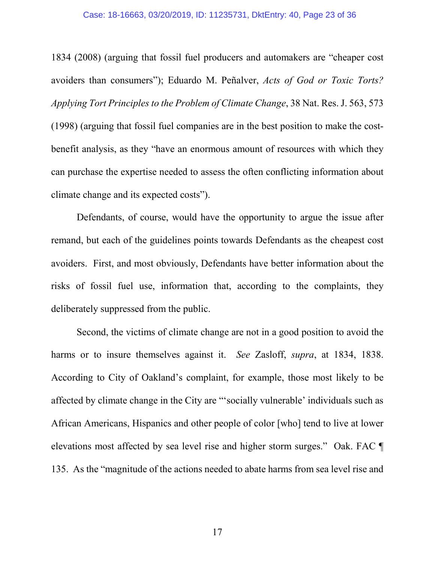### Case: 18-16663, 03/20/2019, ID: 11235731, DktEntry: 40, Page 23 of 36

1834 (2008) (arguing that fossil fuel producers and automakers are "cheaper cost avoiders than consumers"); Eduardo M. Peñalver, *Acts of God or Toxic Torts? Applying Tort Principles to the Problem of Climate Change*, 38 Nat. Res. J. 563, 573 (1998) (arguing that fossil fuel companies are in the best position to make the costbenefit analysis, as they "have an enormous amount of resources with which they can purchase the expertise needed to assess the often conflicting information about climate change and its expected costs").

Defendants, of course, would have the opportunity to argue the issue after remand, but each of the guidelines points towards Defendants as the cheapest cost avoiders. First, and most obviously, Defendants have better information about the risks of fossil fuel use, information that, according to the complaints, they deliberately suppressed from the public.

Second, the victims of climate change are not in a good position to avoid the harms or to insure themselves against it. *See* Zasloff, *supra*, at 1834, 1838. According to City of Oakland's complaint, for example, those most likely to be affected by climate change in the City are "'socially vulnerable' individuals such as African Americans, Hispanics and other people of color [who] tend to live at lower elevations most affected by sea level rise and higher storm surges." Oak. FAC ¶ 135. As the "magnitude of the actions needed to abate harms from sea level rise and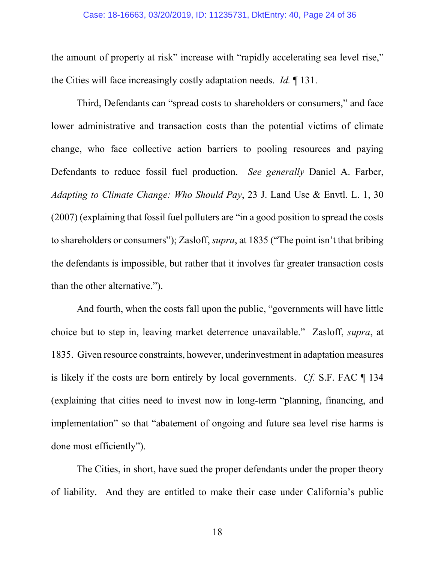the amount of property at risk" increase with "rapidly accelerating sea level rise," the Cities will face increasingly costly adaptation needs. *Id.* ¶ 131.

Third, Defendants can "spread costs to shareholders or consumers," and face lower administrative and transaction costs than the potential victims of climate change, who face collective action barriers to pooling resources and paying Defendants to reduce fossil fuel production. *See generally* Daniel A. Farber, *Adapting to Climate Change: Who Should Pay*, 23 J. Land Use & Envtl. L. 1, 30 (2007) (explaining that fossil fuel polluters are "in a good position to spread the costs to shareholders or consumers"); Zasloff, *supra*, at 1835 ("The point isn't that bribing the defendants is impossible, but rather that it involves far greater transaction costs than the other alternative.").

And fourth, when the costs fall upon the public, "governments will have little choice but to step in, leaving market deterrence unavailable." Zasloff, *supra*, at 1835. Given resource constraints, however, underinvestment in adaptation measures is likely if the costs are born entirely by local governments. *Cf.* S.F. FAC ¶ 134 (explaining that cities need to invest now in long-term "planning, financing, and implementation" so that "abatement of ongoing and future sea level rise harms is done most efficiently").

The Cities, in short, have sued the proper defendants under the proper theory of liability. And they are entitled to make their case under California's public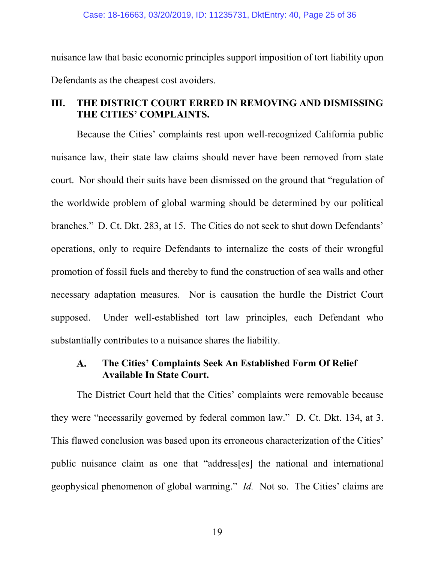nuisance law that basic economic principles support imposition of tort liability upon Defendants as the cheapest cost avoiders.

# <span id="page-24-0"></span>**III. THE DISTRICT COURT ERRED IN REMOVING AND DISMISSING THE CITIES' COMPLAINTS.**

Because the Cities' complaints rest upon well-recognized California public nuisance law, their state law claims should never have been removed from state court. Nor should their suits have been dismissed on the ground that "regulation of the worldwide problem of global warming should be determined by our political branches." D. Ct. Dkt. 283, at 15. The Cities do not seek to shut down Defendants' operations, only to require Defendants to internalize the costs of their wrongful promotion of fossil fuels and thereby to fund the construction of sea walls and other necessary adaptation measures. Nor is causation the hurdle the District Court supposed. Under well-established tort law principles, each Defendant who substantially contributes to a nuisance shares the liability.

#### <span id="page-24-1"></span>**The Cities' Complaints Seek An Established Form Of Relief**   ${\bf A}$ . **Available In State Court.**

The District Court held that the Cities' complaints were removable because they were "necessarily governed by federal common law." D. Ct. Dkt. 134, at 3. This flawed conclusion was based upon its erroneous characterization of the Cities' public nuisance claim as one that "address[es] the national and international geophysical phenomenon of global warming." *Id.* Not so. The Cities' claims are

19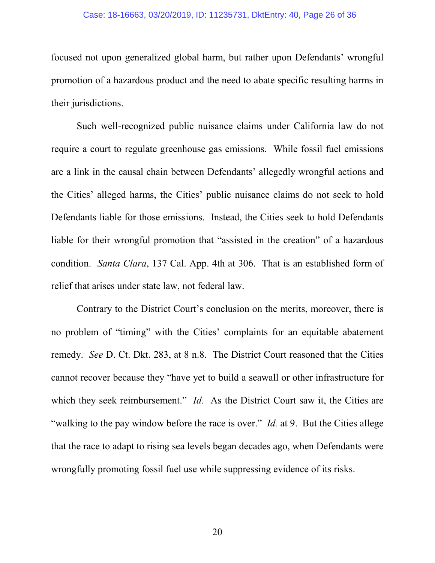### Case: 18-16663, 03/20/2019, ID: 11235731, DktEntry: 40, Page 26 of 36

focused not upon generalized global harm, but rather upon Defendants' wrongful promotion of a hazardous product and the need to abate specific resulting harms in their jurisdictions.

Such well-recognized public nuisance claims under California law do not require a court to regulate greenhouse gas emissions. While fossil fuel emissions are a link in the causal chain between Defendants' allegedly wrongful actions and the Cities' alleged harms, the Cities' public nuisance claims do not seek to hold Defendants liable for those emissions. Instead, the Cities seek to hold Defendants liable for their wrongful promotion that "assisted in the creation" of a hazardous condition. *Santa Clara*, 137 Cal. App. 4th at 306. That is an established form of relief that arises under state law, not federal law.

Contrary to the District Court's conclusion on the merits, moreover, there is no problem of "timing" with the Cities' complaints for an equitable abatement remedy. *See* D. Ct. Dkt. 283, at 8 n.8. The District Court reasoned that the Cities cannot recover because they "have yet to build a seawall or other infrastructure for which they seek reimbursement." *Id.* As the District Court saw it, the Cities are "walking to the pay window before the race is over." *Id.* at 9. But the Cities allege that the race to adapt to rising sea levels began decades ago, when Defendants were wrongfully promoting fossil fuel use while suppressing evidence of its risks.

20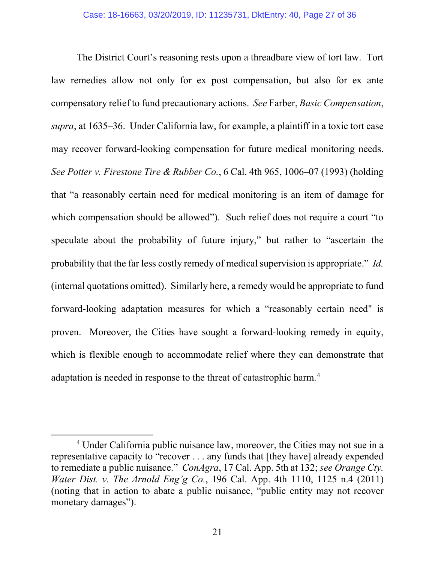The District Court's reasoning rests upon a threadbare view of tort law. Tort law remedies allow not only for ex post compensation, but also for ex ante compensatory relief to fund precautionary actions. *See* Farber, *Basic Compensation*, *supra*, at 1635–36. Under California law, for example, a plaintiff in a toxic tort case may recover forward-looking compensation for future medical monitoring needs. *See Potter v. Firestone Tire & Rubber Co.*, 6 Cal. 4th 965, 1006–07 (1993) (holding that "a reasonably certain need for medical monitoring is an item of damage for which compensation should be allowed"). Such relief does not require a court "to speculate about the probability of future injury," but rather to "ascertain the probability that the far less costly remedy of medical supervision is appropriate." *Id.*  (internal quotations omitted). Similarly here, a remedy would be appropriate to fund forward-looking adaptation measures for which a "reasonably certain need" is proven. Moreover, the Cities have sought a forward-looking remedy in equity, which is flexible enough to accommodate relief where they can demonstrate that adaptation is needed in response to the threat of catastrophic harm.<sup>[4](#page-26-0)</sup>

<span id="page-26-0"></span> <sup>4</sup> Under California public nuisance law, moreover, the Cities may not sue in a representative capacity to "recover . . . any funds that [they have] already expended to remediate a public nuisance." *ConAgra*, 17 Cal. App. 5th at 132; *see Orange Cty. Water Dist. v. The Arnold Eng'g Co.*, 196 Cal. App. 4th 1110, 1125 n.4 (2011) (noting that in action to abate a public nuisance, "public entity may not recover monetary damages").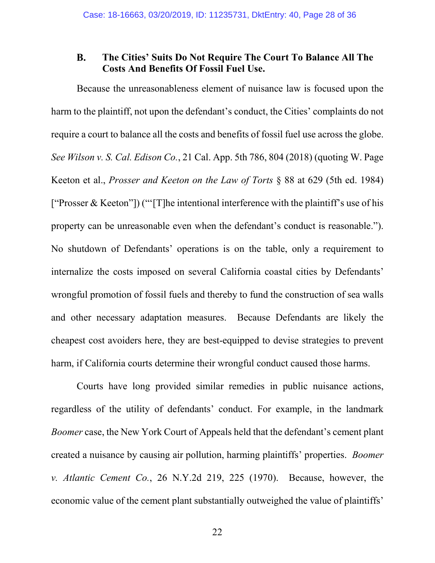#### <span id="page-27-0"></span>**The Cities' Suits Do Not Require The Court To Balance All The B. Costs And Benefits Of Fossil Fuel Use.**

Because the unreasonableness element of nuisance law is focused upon the harm to the plaintiff, not upon the defendant's conduct, the Cities' complaints do not require a court to balance all the costs and benefits of fossil fuel use across the globe. *See Wilson v. S. Cal. Edison Co.*, 21 Cal. App. 5th 786, 804 (2018) (quoting W. Page Keeton et al., *Prosser and Keeton on the Law of Torts* § 88 at 629 (5th ed. 1984) ["Prosser & Keeton"]) ("'[T]he intentional interference with the plaintiff's use of his property can be unreasonable even when the defendant's conduct is reasonable."). No shutdown of Defendants' operations is on the table, only a requirement to internalize the costs imposed on several California coastal cities by Defendants' wrongful promotion of fossil fuels and thereby to fund the construction of sea walls and other necessary adaptation measures. Because Defendants are likely the cheapest cost avoiders here, they are best-equipped to devise strategies to prevent harm, if California courts determine their wrongful conduct caused those harms.

Courts have long provided similar remedies in public nuisance actions, regardless of the utility of defendants' conduct. For example, in the landmark *Boomer* case, the New York Court of Appeals held that the defendant's cement plant created a nuisance by causing air pollution, harming plaintiffs' properties. *Boomer v. Atlantic Cement Co.*, 26 N.Y.2d 219, 225 (1970). Because, however, the economic value of the cement plant substantially outweighed the value of plaintiffs'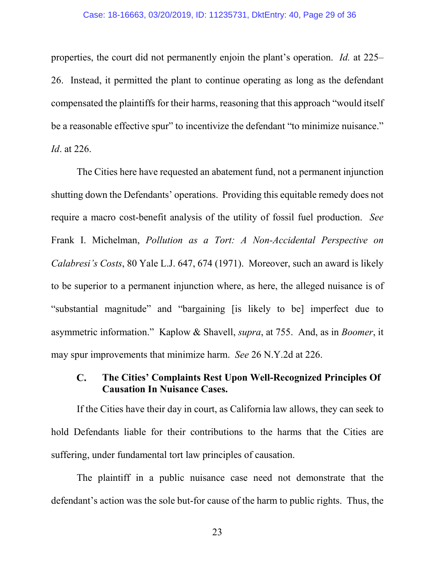### Case: 18-16663, 03/20/2019, ID: 11235731, DktEntry: 40, Page 29 of 36

properties, the court did not permanently enjoin the plant's operation. *Id.* at 225– 26.Instead, it permitted the plant to continue operating as long as the defendant compensated the plaintiffs for their harms, reasoning that this approach "would itself be a reasonable effective spur" to incentivize the defendant "to minimize nuisance." *Id*. at 226.

The Cities here have requested an abatement fund, not a permanent injunction shutting down the Defendants' operations. Providing this equitable remedy does not require a macro cost-benefit analysis of the utility of fossil fuel production. *See*  Frank I. Michelman, *Pollution as a Tort: A Non-Accidental Perspective on Calabresi's Costs*, 80 Yale L.J. 647, 674 (1971). Moreover, such an award is likely to be superior to a permanent injunction where, as here, the alleged nuisance is of "substantial magnitude" and "bargaining [is likely to be] imperfect due to asymmetric information." Kaplow & Shavell, *supra*, at 755. And, as in *Boomer*, it may spur improvements that minimize harm. *See* 26 N.Y.2d at 226.

#### <span id="page-28-0"></span>**The Cities' Complaints Rest Upon Well-Recognized Principles Of**   $\mathbf{C}$ . **Causation In Nuisance Cases.**

If the Cities have their day in court, as California law allows, they can seek to hold Defendants liable for their contributions to the harms that the Cities are suffering, under fundamental tort law principles of causation.

The plaintiff in a public nuisance case need not demonstrate that the defendant's action was the sole but-for cause of the harm to public rights. Thus, the

23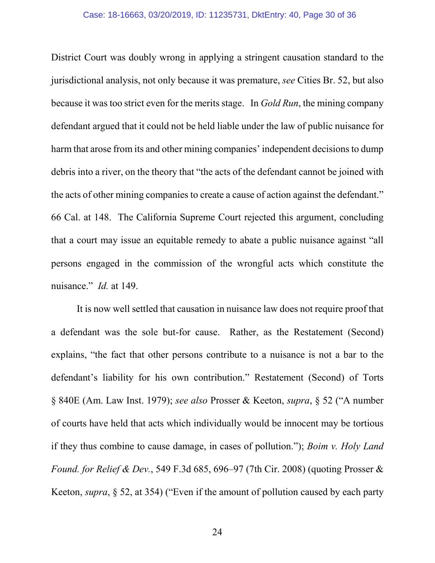District Court was doubly wrong in applying a stringent causation standard to the jurisdictional analysis, not only because it was premature, *see* Cities Br. 52, but also because it was too strict even for the merits stage. In *Gold Run*, the mining company defendant argued that it could not be held liable under the law of public nuisance for harm that arose from its and other mining companies' independent decisions to dump debris into a river, on the theory that "the acts of the defendant cannot be joined with the acts of other mining companies to create a cause of action against the defendant." 66 Cal. at 148. The California Supreme Court rejected this argument, concluding that a court may issue an equitable remedy to abate a public nuisance against "all persons engaged in the commission of the wrongful acts which constitute the nuisance." *Id.* at 149.

It is now well settled that causation in nuisance law does not require proof that a defendant was the sole but-for cause. Rather, as the Restatement (Second) explains, "the fact that other persons contribute to a nuisance is not a bar to the defendant's liability for his own contribution." Restatement (Second) of Torts § 840E (Am. Law Inst. 1979); *see also* Prosser & Keeton, *supra*, § 52 ("A number of courts have held that acts which individually would be innocent may be tortious if they thus combine to cause damage, in cases of pollution."); *Boim v. Holy Land Found. for Relief & Dev.*, 549 F.3d 685, 696–97 (7th Cir. 2008) (quoting Prosser & Keeton, *supra*, § 52, at 354) ("Even if the amount of pollution caused by each party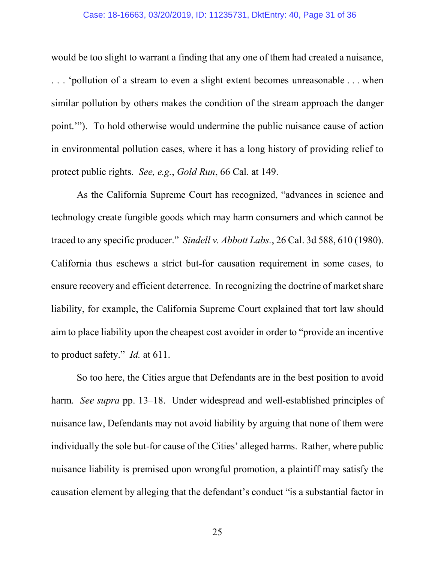### Case: 18-16663, 03/20/2019, ID: 11235731, DktEntry: 40, Page 31 of 36

would be too slight to warrant a finding that any one of them had created a nuisance, . . . 'pollution of a stream to even a slight extent becomes unreasonable . . . when similar pollution by others makes the condition of the stream approach the danger point.'"). To hold otherwise would undermine the public nuisance cause of action in environmental pollution cases, where it has a long history of providing relief to protect public rights. *See, e.g.*, *Gold Run*, 66 Cal. at 149.

As the California Supreme Court has recognized, "advances in science and technology create fungible goods which may harm consumers and which cannot be traced to any specific producer." *Sindell v. Abbott Labs.*, 26 Cal. 3d 588, 610 (1980). California thus eschews a strict but-for causation requirement in some cases, to ensure recovery and efficient deterrence. In recognizing the doctrine of market share liability, for example, the California Supreme Court explained that tort law should aim to place liability upon the cheapest cost avoider in order to "provide an incentive to product safety." *Id.* at 611.

So too here, the Cities argue that Defendants are in the best position to avoid harm. *See supra* pp. 13–18. Under widespread and well-established principles of nuisance law, Defendants may not avoid liability by arguing that none of them were individually the sole but-for cause of the Cities' alleged harms. Rather, where public nuisance liability is premised upon wrongful promotion, a plaintiff may satisfy the causation element by alleging that the defendant's conduct "is a substantial factor in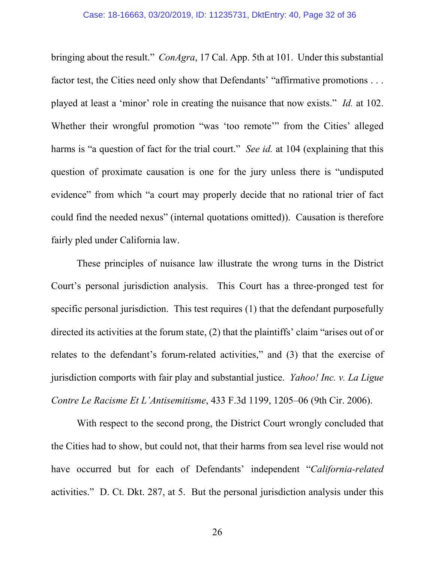bringing about the result." *ConAgra*, 17 Cal. App. 5th at 101. Under this substantial factor test, the Cities need only show that Defendants' "affirmative promotions . . . played at least a 'minor' role in creating the nuisance that now exists." *Id.* at 102. Whether their wrongful promotion "was 'too remote'" from the Cities' alleged harms is "a question of fact for the trial court." *See id.* at 104 (explaining that this question of proximate causation is one for the jury unless there is "undisputed evidence" from which "a court may properly decide that no rational trier of fact could find the needed nexus" (internal quotations omitted)). Causation is therefore fairly pled under California law.

These principles of nuisance law illustrate the wrong turns in the District Court's personal jurisdiction analysis. This Court has a three-pronged test for specific personal jurisdiction. This test requires (1) that the defendant purposefully directed its activities at the forum state, (2) that the plaintiffs' claim "arises out of or relates to the defendant's forum-related activities," and (3) that the exercise of jurisdiction comports with fair play and substantial justice. *Yahoo! Inc. v. La Ligue Contre Le Racisme Et L'Antisemitisme*, 433 F.3d 1199, 1205–06 (9th Cir. 2006).

With respect to the second prong, the District Court wrongly concluded that the Cities had to show, but could not, that their harms from sea level rise would not have occurred but for each of Defendants' independent "*California-related*  activities." D. Ct. Dkt. 287, at 5. But the personal jurisdiction analysis under this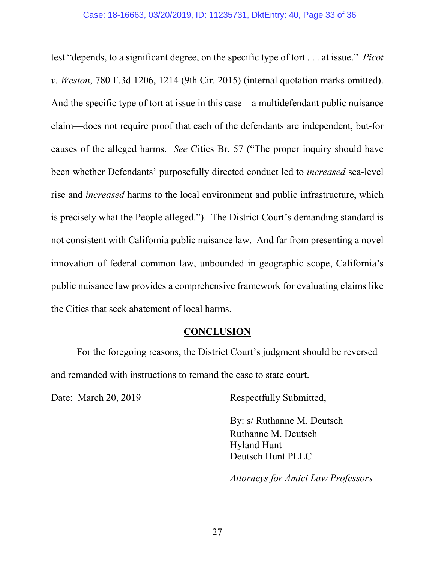test "depends, to a significant degree, on the specific type of tort . . . at issue." *Picot v. Weston*, 780 F.3d 1206, 1214 (9th Cir. 2015) (internal quotation marks omitted). And the specific type of tort at issue in this case—a multidefendant public nuisance claim—does not require proof that each of the defendants are independent, but-for causes of the alleged harms. *See* Cities Br. 57 ("The proper inquiry should have been whether Defendants' purposefully directed conduct led to *increased* sea-level rise and *increased* harms to the local environment and public infrastructure, which is precisely what the People alleged."). The District Court's demanding standard is not consistent with California public nuisance law. And far from presenting a novel innovation of federal common law, unbounded in geographic scope, California's public nuisance law provides a comprehensive framework for evaluating claims like the Cities that seek abatement of local harms.

## **CONCLUSION**

<span id="page-32-0"></span>For the foregoing reasons, the District Court's judgment should be reversed and remanded with instructions to remand the case to state court.

Date: March 20, 2019 Respectfully Submitted,

By: s/ Ruthanne M. Deutsch Ruthanne M. Deutsch Hyland Hunt Deutsch Hunt PLLC

*Attorneys for Amici Law Professors*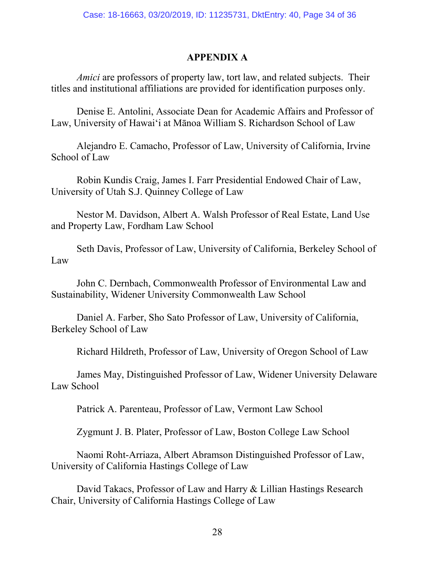## **APPENDIX A**

*Amici* are professors of property law, tort law, and related subjects. Their titles and institutional affiliations are provided for identification purposes only.

Denise E. Antolini, Associate Dean for Academic Affairs and Professor of Law, University of Hawaiʻi at Mānoa William S. Richardson School of Law

Alejandro E. Camacho, Professor of Law, University of California, Irvine School of Law

Robin Kundis Craig, James I. Farr Presidential Endowed Chair of Law, University of Utah S.J. Quinney College of Law

Nestor M. Davidson, Albert A. Walsh Professor of Real Estate, Land Use and Property Law, Fordham Law School

Seth Davis, Professor of Law, University of California, Berkeley School of Law

John C. Dernbach, Commonwealth Professor of Environmental Law and Sustainability, Widener University Commonwealth Law School

Daniel A. Farber, Sho Sato Professor of Law, University of California, Berkeley School of Law

Richard Hildreth, Professor of Law, University of Oregon School of Law

James May, Distinguished Professor of Law, Widener University Delaware Law School

Patrick A. Parenteau, Professor of Law, Vermont Law School

Zygmunt J. B. Plater, Professor of Law, Boston College Law School

Naomi Roht-Arriaza, Albert Abramson Distinguished Professor of Law, University of California Hastings College of Law

David Takacs, Professor of Law and Harry & Lillian Hastings Research Chair, University of California Hastings College of Law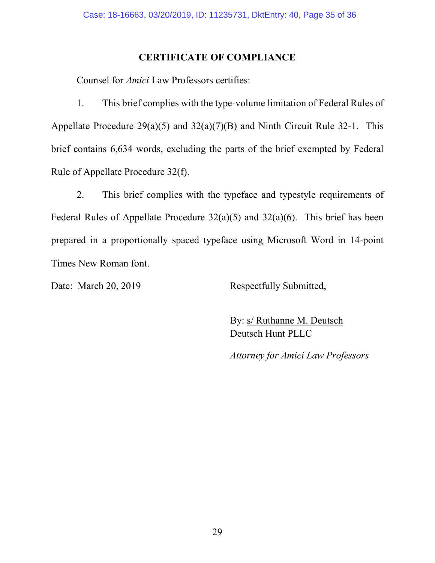### **CERTIFICATE OF COMPLIANCE**

Counsel for *Amici* Law Professors certifies:

1. This brief complies with the type-volume limitation of Federal Rules of Appellate Procedure  $29(a)(5)$  and  $32(a)(7)(B)$  and Ninth Circuit Rule 32-1. This brief contains 6,634 words, excluding the parts of the brief exempted by Federal Rule of Appellate Procedure 32(f).

2. This brief complies with the typeface and typestyle requirements of Federal Rules of Appellate Procedure  $32(a)(5)$  and  $32(a)(6)$ . This brief has been prepared in a proportionally spaced typeface using Microsoft Word in 14-point Times New Roman font.

Date: March 20, 2019 Respectfully Submitted,

By: s/ Ruthanne M. Deutsch Deutsch Hunt PLLC

*Attorney for Amici Law Professors*